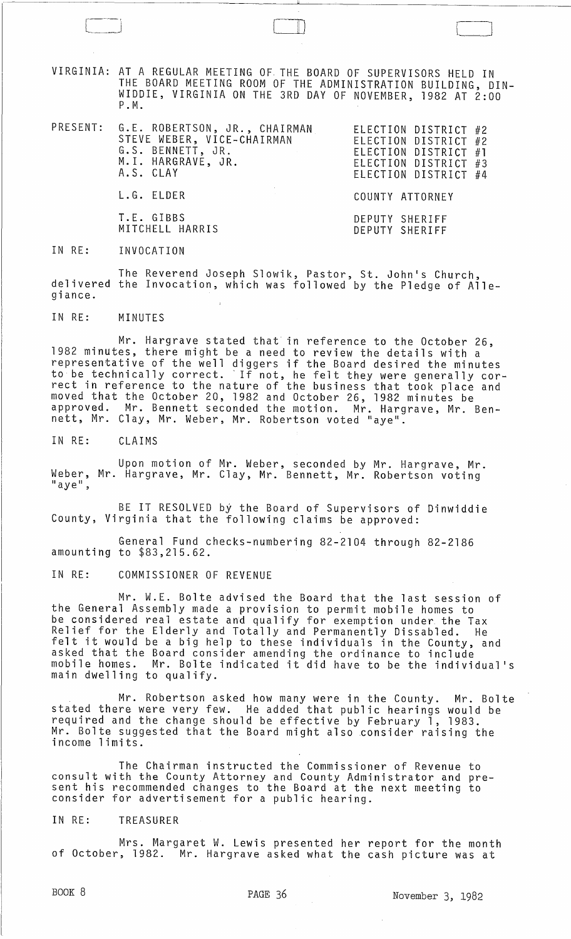VIRGINIA: AT A REGULAR MEETING OF, THE BOARD OF SUPERVISORS HELD IN THE BOARD MEETING ROOM OF THE ADMINISTRATION BUILDING, DIN-WIDDIE, VIRGINIA ON THE 3RD DAY OF NOVEMBER, 1982 AT 2:00 P. M.

 $\Box$ 

|  | PRESENT: G.E. ROBERTSON, JR., CHAIRMAN<br>STEVE WEBER, VICE-CHAIRMAN<br>G.S. BENNETT, JR.<br>$\mathcal{L}(\mathcal{L}(\mathcal{L}(\mathcal{L}(\mathcal{L}(\mathcal{L}(\mathcal{L}(\mathcal{L}(\mathcal{L}(\mathcal{L}(\mathcal{L}(\mathcal{L}(\mathcal{L}(\mathcal{L}(\mathcal{L}(\mathcal{L}(\mathcal{L}(\mathcal{L}(\mathcal{L}(\mathcal{L}(\mathcal{L}(\mathcal{L}(\mathcal{L}(\mathcal{L}(\mathcal{L}(\mathcal{L}(\mathcal{L}(\mathcal{L}(\mathcal{L}(\mathcal{L}(\mathcal{L}(\mathcal{L}(\mathcal{L}(\mathcal{L}(\mathcal{L}(\mathcal{L}(\mathcal{$<br>M.I. HARGRAVE, JR.<br>A.S. CLAY | ELECTION DISTRICT #2<br>ELECTION DISTRICT #2<br>ELECTION DISTRICT #1<br>ELECTION DISTRICT #3<br>ELECTION DISTRICT #4 |
|--|---------------------------------------------------------------------------------------------------------------------------------------------------------------------------------------------------------------------------------------------------------------------------------------------------------------------------------------------------------------------------------------------------------------------------------------------------------------------------------------------------------------------------------------------------------------------------------------------|----------------------------------------------------------------------------------------------------------------------|
|  | L.G. ELDER                                                                                                                                                                                                                                                                                                                                                                                                                                                                                                                                                                                  | COUNTY ATTORNEY                                                                                                      |
|  | T.E. GIBBS<br>MITCHELL HARRIS                                                                                                                                                                                                                                                                                                                                                                                                                                                                                                                                                               | DEPUTY SHERIFF<br>DEPUTY SHERIFF                                                                                     |

IN RE: INVOCATION

The Reverend Joseph Slowik, Pastor, St. John's Church, delivered the Invocation, which was followed by the Pledge of Allegiance.

IN RE: MINUTES

Mr. Hargrave stated that in reference to the October 26, 1982 minutes, there might be a need to review the details with a representative of the well diggers if the Board desired the minutes to be technically correct. 'If not, he felt they were generally correct in reference to the nature of the business that took place and moved that the October 20, 1982 and October 26, 1982 minutes be approved. Mr. Bennett seconded the motion. Mr. Hargrave, Mr. Benapproved. Mr. Bennett seconded the motion. Mr. Har<br>nett, Mr. Clay, Mr. Weber, Mr. Robertson voted "aye"

IN RE: CLAIMS

Upon motion of Mr. Weber, seconded by Mr. Hargrave, Mr. Weber, Mr. Hargrave, Mr. Clay, Mr. Bennett, Mr. Robertson voting<br>"aye",

BE IT RESOLVED by the Board of Supervisors of Dinwiddie County, Virginia that the following claims be approved:

General Fund checks-numbering 82-2104 through 82-2186 amounting to \$83,215.62.

IN RE: COMMISSIONER OF REVENUE

Mr. W.E. Bolte advised the Board that the last session of the General Assembly made a provision to permit mobile homes to be considered real estate and qualify for exemption under the Tax Relief for the Elderly and Totally and Permanently Dissabled. He felt it would be a big help to these individuals in the County, and asked that the Board consider amending the ordinance to include mobile homes. Mr. Bolte indicated it did have to be the individual's main dwelling to qualify.

Mr. Robertson asked how many were in the County. Mr. Bolte stated there were very few. He added that public hearings would be required and the change should be effective by February 1, 1983. Mr. Bolte suggested that the Board might also consider raising the income limits.

The Chairman instructed the Commissioner of Revenue to consult with the County Attorney and County Administrator and present his recommended changes to the Board at the next meeting to consider for advertisement for a public hearing.

### IN RE: TREASURER

Mrs. Margaret W. Lewis presented her report for the month of October, 1982. Mr. Hargrave asked what the cash picture was at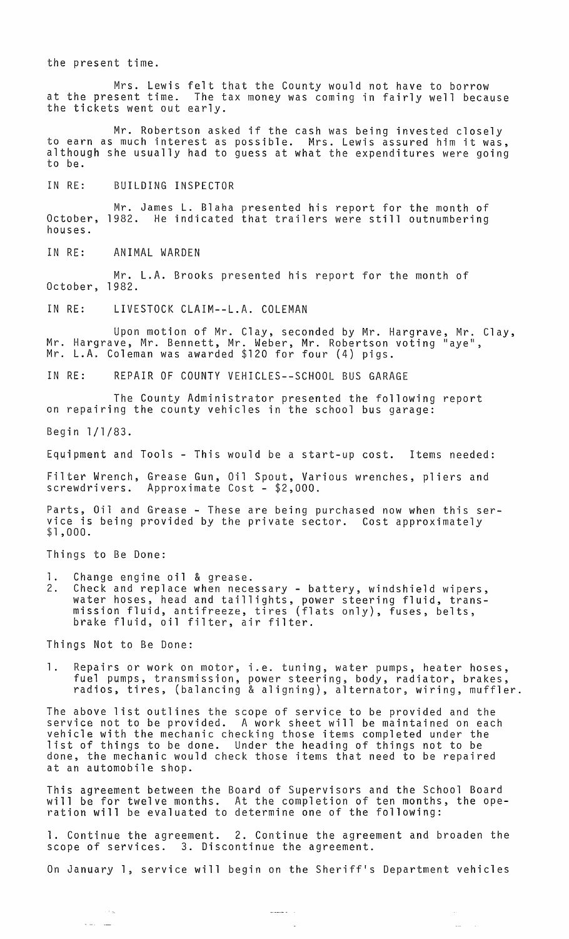the present time.

Mrs. Lewis felt that the County would not have to borrow at the present time. The tax money was coming in fairly well because the tickets went out early.

Mr. Robertson asked if the cash was being invested closely to earn as much interest as possible. Mrs. Lewis assured him it was, although she usually had to guess at what the expenditures were going to be.

IN RE: BUILDING INSPECTOR

Mr. James L. Blaha presented his report for the month of October, 1982. He indicated that trailers were still outnumbering houses.

IN RE: ANIMAL WARDEN

Mr. L.A. Brooks presented his report for the month of October, 1982.

IN RE: LIVESTOCK CLAIM--L.A. COLEMAN

Upon motion of Mr. Clay, seconded by Mr. Hargrave, Mr. Clay, Mr. Hargrave, Mr. Bennett, Mr. Weber, Mr. Robertson voting "aye", Mr. L.A. Coleman was awarded \$120 for four (4) pigs.

IN RE: REPAIR OF COUNTY VEHICLES--SCHOOL BUS GARAGE

The County Administrator presented the following report on repairing the county vehicles in the school bus garage:

Begin 1/1/83.

Equipment and Tools - This would be a start-up cost. Items needed:

Filter Wrench, Grease Gun, Oil Spout, Various wrenches, pliers and screwdrivers. Approximate Cost - \$2,000.

Parts, Oil and Grease - These are being purchased now when this service is being provided by the private sector. Cost approximately<br>\$1,000.

Things to Be Done:

- 1. Change engine oil & grease.
- 2. Check and replace when necessary battery, windshield wipers, water hoses, head and taillights, power steering fluid, transmission fluid, antifreeze, tires (flats only), fuses, belts, mission fluid, antificaze, tiles (fil<br>brake fluid, oil filter, air filter.

Things Not to Be Done:

 $\sim$   $\sim$   $_{\odot}$ 

1. Repairs or work on motor, i.e. tuning, water pumps, heater hoses, fuel pumps, transmission, power steering, body, radiator, brakes, radios, tires, (balancing & aligning), alternator, wiring, muffler.

The above list outlines the scope of service to be provided and the service not to be provided. A work sheet will be maintained on each vehicle with the mechanic checking those items completed under the list of things to be done. Under the heading of things not to be done, the mechanic would check those items that need to be repaired at an automobile shop.

This agreement between the Board of Supervisors and the School Board will be for twelve months. At the completion of ten months, the operation will be evaluated to determine one of the following:

1. Continue the agreement. 2. Continue the agreement and broaden the scope of services. 3. Discontinue the agreement.

On January 1, service will begin on the Sheriff's Department vehicles

where  $\hat{\mathbf{r}}$  ,  $\hat{\mathbf{r}}$ 

 $\sim$ 

 $\bar{\psi}$ 

 $\sim$   $\sim$ 

 $\sim$  11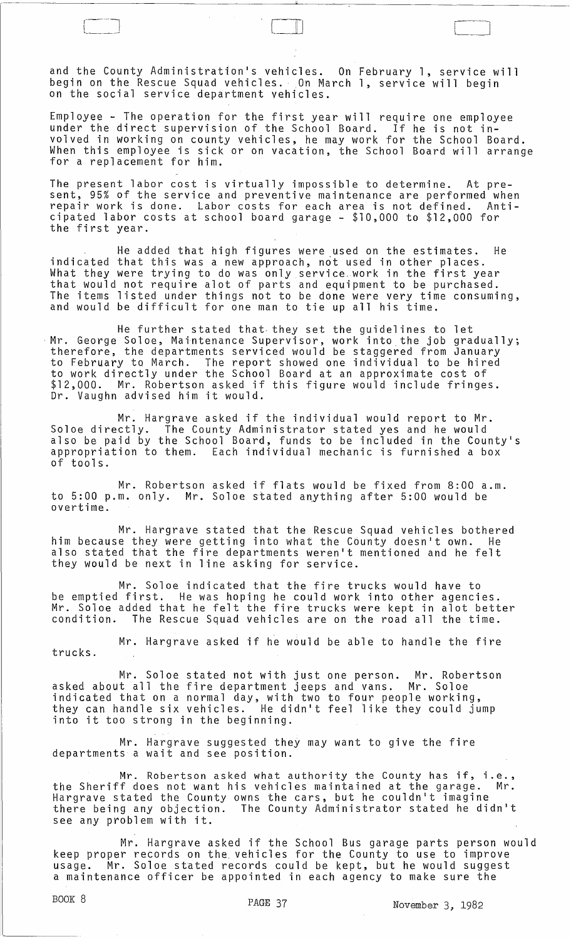and the County Administration's vehicles. On February 1, service will begin on the Rescue Squad vehicles. On March 1, service will begin on the social service department vehicles.

 $\Box$ 

Employee - The operation for the first year will require one employee under the direct supervision of the School Board. If he is not involved in working on county vehicles, he may work for the School Board. When this employee is sick or on vacation, the School Board will arrange<br>for a replacement for him.

The present labor cost is virtually impossible to determine. At present, 95% of the service and preventive maintenance are performed when repair work is done. Labor costs for each area is not defined. Anticipated labor costs at school board garage - \$10,000 to \$12,000 for the first year.

He added that high figures were used on the estimates. He indicated that this was a new approach, not used in other places. What they were trying to do was only service. work in the first year that would not require alot of parts and equipment to be purchased. The items listed under things not to be done were very time consuming, and would be difficult for one man to tie up all his time.

He further stated that· they set the guidelines to let Mr. George Soloe, Maintenance Supervisor, work into the job gradually;<br>therefore, the departments serviced would be staggered from January to February to March. The report showed one individual to be hired to work directly under the School Board at an approximate cost of \$12,000. Mr. Robertson asked if this figure would include fringes. Dr. Vaughn advised him it would.

Mr. Hargrave asked if the individual would report to Mr. Soloe directly. The County Administrator stated yes and he would also be paid by the School Board, funds to be included in the County's appropriation to them. Each individual mechanic is furnished a box of tools.

Mr. Robertson asked if flats would be fixed from 8:00 a.m. to 5:00 p.m. only. Mr. Soloe stated anything after 5:00 would be overtime.

Mr. Hargrave stated that the Rescue Squad vehicles bothered him because they were getting into what the County doesn't own. He also stated that the fire departments weren't mentioned and he felt they would be next in line asking for service.

Mr. Soloe indicated that the fire trucks would have to be emptied first. He was hoping he could work into other agencies. Mr. Soloe added that he felt the fire trucks were kept in alot better condition. The Rescue Squad vehicles are on the road all the time.

Mr. Hargrave asked if he would be able to handle the fire trucks.

Mr. Soloe stated not with just one person. Mr. Robertson asked about all the fire department jeeps and vans. Mr. Soloe indicated that on a normal day, with two to four people working, they can handle six vehicles. He didn't feel like they could jump they can handle six venicles. The di<br>into it too strong in the beginning.

Mr. Hargrave suggested they may want to give the fire departments a wait and see position.

Mr. Robertson asked what authority the County has if, i.e., the Sheriff does not want his vehicles maintained at the garage. Mr. Hargrave stated the County owns the cars, but he couldn't imagine there being any objection. The County Administrator stated he didn't see any problem with it.

Mr. Hargrave asked if the School Bus garage parts person would keep proper records on the vehicles for the County to use to improve usage. Mr. Soloe stated records could be kept, but he would suggest a maintenance officer be appointed in each agency to make sure the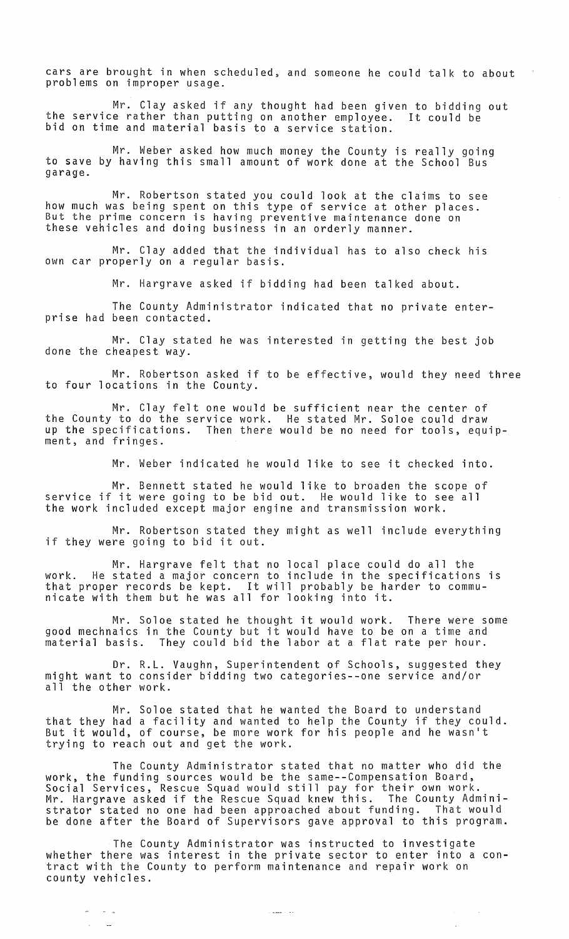cars are brought in when scheduled, and someone he could talk to about problems on improper usage.

Mr. Clay asked if any thought had been given to bidding out<br>e rather than putting on another employee. It could be the service rather than putting on another employee. bid on time and material basis to a service station.

Mr. Weber asked how much money the County is really going to save by having this small amount of work done at the School Bus garage.

Mr. Robertson stated you could look at the claims to see how much was being spent on this type of service at other places. But the prime concern is having preventive maintenance done on these vehicles and doing business in an orderly manner.

Mr. Clay added that the individual has to also check his own car properly on a regular basis.

Mr. Hargrave asked if bidding had been talked about.

The County Administrator indicated that no private enterprise had been contacted.

Mr. Clay stated he was interested in getting the best job done the cheapest way.

Mr. Robertson asked if to be effective, would they need three to four locations in the County.

Mr. Clay felt one would be sufficient near the center of the County to do the service work. He stated Mr. Soloe could draw up the specifications. Then there would be no need for tools, equipment, and fringes.

Mr. Weber indicated he would like to see it checked into.

Mr. Bennett stated he would like to broaden the scope of service if it were going to be bid out. He would like to see all the work included except major engine and transmission work.

Mr. Robertson stated they might as well include everything if they were going to bid it out.

Mr. Hargrave felt that no local place could do all the work. He stated a major concern to include in the specifications is that proper records be kept. It will probably be harder to communicate with them but he was all for looking into it.

Mr. Soloe stated he thought it would work. There were some good mechnaics in the County but it would have to be on a time and material basis. They could bid the labor at a flat rate per hour.

Dr. R.L. Vaughn, Superintendent of Schools, suggested they might want to consider bidding two categories--one service and/or all the other work.

Mr. Soloe stated that he wanted the Board to understand that they had a facility and wanted to help the County if they could. But it would, of course, be more work for his people and he wasn't trying to reach out and get the work.

The County Administrator stated that no matter who did the work, the funding sources would be the same--Compensation Board, Social Services, Rescue Squad would still pay for their own work. Mr. Hargrave asked if the Rescue Squad knew this. The County Administrator stated no one had been approached about funding. That would be done after the Board of Supervisors gave approval to this program.

The County Administrator was instructed to investigate whether there was interest in the private sector to enter into a contract with the County to perform maintenance and repair work on county vehicles.

 $\sim 10^7$ 

 $\mathcal{L}_{\mathcal{A}}$ 

 $\sigma_{\rm{max}}$  ,  $\sigma_{\rm{max}}$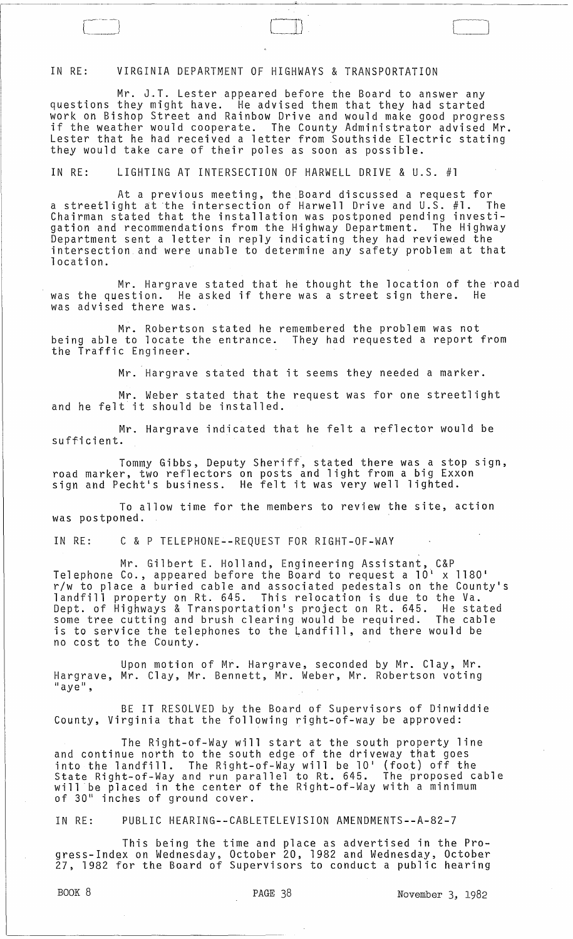# IN RE: VIRGINIA DEPARTMENT OF HIGHWAYS & TRANSPORTATION

---~----------

Mr. J.T. Lester appeared before the Board to answer any questions they might have. He advised them that they had started work on Bishop Street and Rainbow Drive and would make good progress if the weather would cooperate. The County Administrator advised Mr. Lester that he had received a letter from Southside Electric stating they would take care of their poles as soon as possible.

 $\Box$ 

IN RE: LIGHTING AT INTERSECTION OF HARWELL DRIVE & U.S. #1

At a previous meeting, the Board discussed a request for a streetlight at the intersection of Harwell *Drive* and U.S. #1. The Chairman stated that the installation was postponed pending investigation and recommendations from the Highway Department. The Highway Department sent a letter in reply indicating they had reviewed the intersection and were unable to determine any safety problem at that location.

Mr. Hargrave stated that he thought the location of the road was the question. He asked if there was a street sign there. He was advised there was.

Mr. Robertson stated he remembered the problem was not being able to locate the entrance. They had requested a report from the Traffic Engineer.

Mr. Hargrave stated that it seems they needed a marker.

Mr. Weber stated that the request was for one streetlight and he felt it should be installed.

Mr. Hargrave indicated that he felt a reflector would be sufficient.

Tommy Gibbs, Deputy Sheriff, stated there was a stop sign, road marker, two reflectors on posts and light from a big Exxon road marker, two reflectors on posts and fight from a big t.x.<br>sign and Pecht's business. He felt it was very well lighted.

To allow time for the members to review the site, action was postponed.

IN RE: C & P TELEPHONE--REQUEST FOR RIGHT-OF-WAY

Mr. Gilbert E. Holland, Engineering Assistant, C&P Telephone Co., appeared before the Board to request a 10\ x 1180 1 r/w to place a buried cable and associated pedestals on the County's landfill property on Rt. 645. This relocation is due to the Va. Dept. of Highways & Transportation1s project on Rt. 645. He stated some tree cutting and brush clearing would be required. The cable is to service the telephones to the Landfill, and there would be no cost to the County.

Upon motion of Mr. Hargrave, seconded by Mr. Clay, Mr. Hargrave, Mr. Clay, Mr. Bennett, Mr. Weber, Mr. Robertson voting<br>"aye",

BE IT RESOLVED by the Board of Supervisors of Dinwiddie County, Virginia that the following right-of-way be approved:

The Right-of-Way will start at the south property line and continue north to the south edge of the driveway that goes into the landfill. The Right-of-Way will be 10 1 (foot) off the State Right-of-Way and run parallel to Rt. 645. The proposed cable will be placed in the center of the Right-of-Way with a minimum of 30 11 inches of ground *cover.* 

IN RE: PUBLIC HEARING--CABLETELEVISION AMENDMENTS--A-82-7

This being the time and place as advertised in the Progress-Index on Wednesday, October 20, 1982 and Wednesday, October 27, 1982 for the Board of Supervisors to conduct a public hearing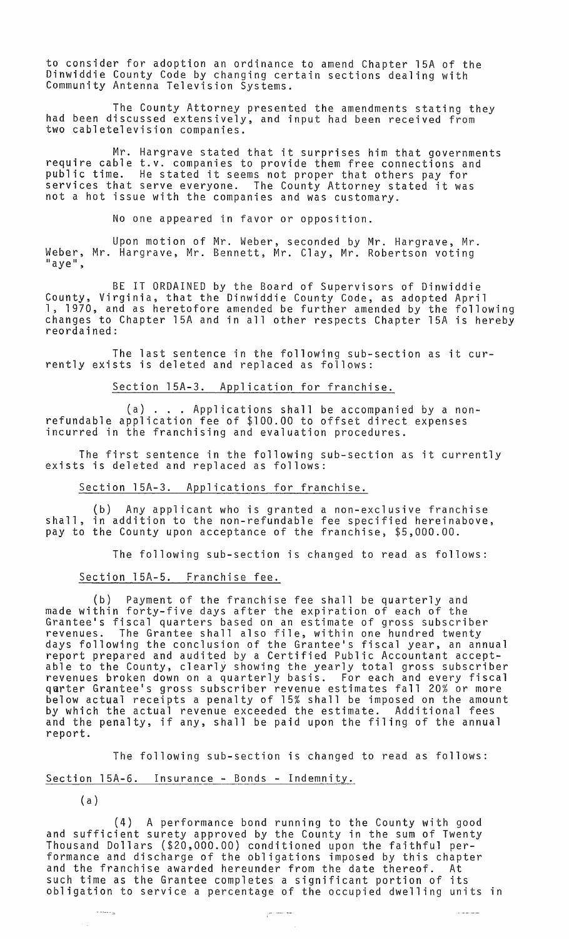to consider for adoption an ordinance to amend Chapter 15A of the Dinwiddie County Code by changing certain sections dealing with Community Antenna Television Systems.

The County Attorney presented the amendments stating they had been discussed extensively, and input had been received from two cabletelevision companies.

Mr. Hargrave stated that it surprises him that governments require cable t.v. companies to provide them free connections and public time. He stated it seems not proper that others pay for services that serve everyone. The County Attorney stated it was not a hot issue with the companies and was customary.

No one appeared in favor or opposition.

Upon motion of Mr. Weber, seconded by Mr. Hargrave, Mr. Weber, Mr. Hargrave, Mr. Bennett, Mr. Clay, Mr. Robertson voting<br>"aye",

BE IT ORDAINED by the Board of Supervisors of Dinwiddie County, Virginia, that the Dinwiddie County Code, as adopted April 1, 1970, and as heretofore amended be further amended by the following changes to Chapter 15A and in all other respects Chapter 15A is hereby reordained:

The last sentence in the following sub-section as it currently exists is deleted and replaced as follows:

Section 15A-3. Application for franchise.

(a) ... Applications shall be accompanied by a nonrefundable application fee of \$100.00 to offset direct expenses incurred in the franchising and evaluation procedures.

The first sentence in the following sub-section as it currently exists is deleted and replaced as follows:

Section 15A-3. Applications for franchise.

(b) Any applicant who is granted a non-exclusive franchise shall, in addition to the non-refundable fee specified hereinabove, pay to the County upon acceptance of the franchise, \$5,000.00.

The following sub-section is changed to read as follows:

# Section 15A-5. Franchise fee.

(b) Payment of the franchise fee shall be quarterly and made within forty-five days after the expiration of each of the Grantee's fiscal quarters based on an estimate of gross subscriber revenues. The Grantee shall also file, within one hundred twenty days following the conclusion of the Grantee's fiscal year, an annual report prepared and audited by a Certified Public Accountant accept-<br>able to the County, clearly showing the yearly total gross subscriber revenues broken down on a quarterly basis. For each and every fiscal qarter Grantee's gross subscriber revenue estimates fall 20% or more below actual receipts a penalty of 15% shall be imposed on the amount by which the actual revenue exceeded the estimate. Additional fees and the penalty, if any, shall be paid upon the filing of the annual report.

The following sub-section is changed to read as follows:

Section l5A-6. Insurance - Bonds - Indemnity.

(a)

(4) A performance bond running to the County with good and sufficient surety approved by the County in the sum of Twenty Thousand Dollars (\$20,000.00) conditioned upon the faithful performance and discharge of the obligations imposed by this chapter and the franchise awarded hereunder from the date thereof. At such time as the Grantee completes a significant portion of its obligation to service a percentage of the occupied dwelling units in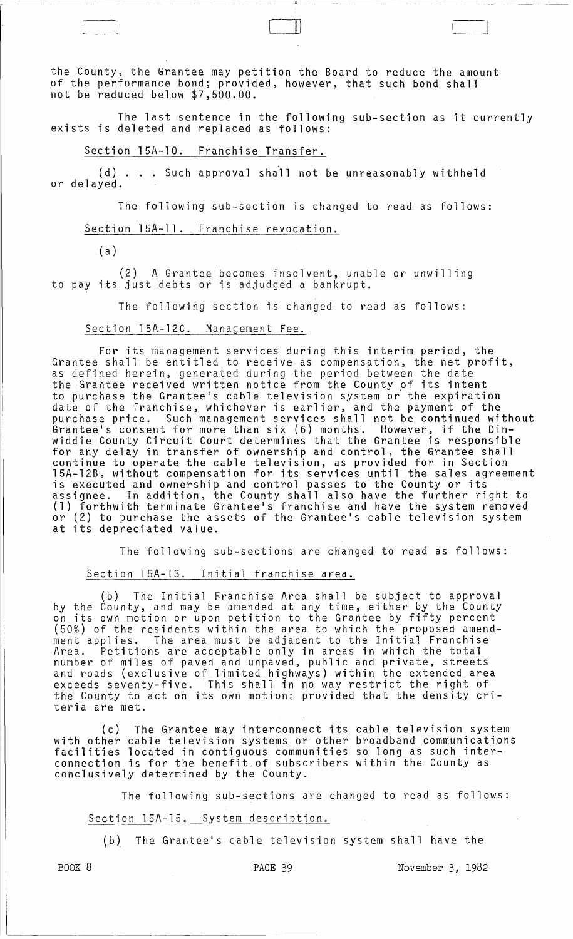the County, the Grantee may petition the Board to reduce the amount of the performance bond; provided, however, that such bond shall not be reduced below \$7,500.00.

The last sentence in the following sub-section as it currently exists is deleted and replaced as follows:

Section 15A-10. Franchise Transfer.

 $\begin{pmatrix} 1 & 0 & 0 \\ 0 & 0 & 0 \\ 0 & 0 & 0 \\ 0 & 0 & 0 \\ 0 & 0 & 0 \\ 0 & 0 & 0 \\ 0 & 0 & 0 \\ 0 & 0 & 0 \\ 0 & 0 & 0 & 0 \\ 0 & 0 & 0 & 0 \\ 0 & 0 & 0 & 0 \\ 0 & 0 & 0 & 0 & 0 \\ 0 & 0 & 0 & 0 & 0 \\ 0 & 0 & 0 & 0 & 0 \\ 0 & 0 & 0 & 0 & 0 & 0 \\ 0 & 0 & 0 & 0 & 0 & 0 \\ 0 & 0 & 0 & 0 & 0 & 0 & 0 \\ 0 &$ 

(d) . . . Such approval shall not be unreasonably withheld or delayed.

The following sub-section is changed to read as follows:

#### Section 15A-ll. Franchise revocation.

( a )

(2) A Grantee becomes insolvent, unable or unwilling to pay its just debts or is adjudged a bankrupt.

The following section is changed to read as follows:

#### Section l5A-12C. Management Fee.

For its management services during this interim period, the Grantee shall be entitled to receive as compensation, the net profit, as defined herein, generated during the period between the date the Grantee received written notice from the County of its intent to purchase the Grantee's cable television system or' the expiration date of the franchise, whichever is earlier, and the payment of the purchase price. Such management services shall not be continued without Grantee's consent for more than six (6) months. However, if the Dinwiddie County Circuit Court determines that the Grantee is responsible for any delay in transfer of ownership and control, the Grantee shall continue to operate the cable television, as provided for in Section 15A-12B, without compensation for its services until the sales agreement is executed and ownership and control passes to the County or its assignee. In addition, the County shall also have the further right to (1) forthwith terminate Grantee's franchise and have the system removed or (2) to purchase the assets of the Grantee's cable television system at its depreciated value.

The following sub-sections are changed to read as follows:

Section l5A-13. Initial franchise area.

(b) The Initial Franchise Area shall be subject to approval by the County, and may be amended at any time, either by the County on its own motion or upon petition to the Grantee by fifty percent (50%) of the residents within the area to which the proposed amend-<br>ment applies. The area must be adjacent to the Initial Franchise The area must be adjacent to the Initial Franchise Area. Petitions are acceptable only in areas in which the total number of miles of paved and unpaved, public and private, streets and roads (exclusive of limited highways) within the extended area exceeds seventy-five. This shall in no way restrict the right of the County to act on its own motion; provided that the density criteria are met.

(c) The Grantee may interconnect its cable television system with other cable television systems or other broadband communications facilities located in contiguous communities so long as such interconnection is for the benefit,of subscribers within the County as conclusively determined by the County.

The following sub-sections are changed to read as follows:

# Section 15A-15. System description.

(b) The Grantee's cable television system shall have the

BOOK 8 **PAGE 39** PAGE 39 November 3, 1982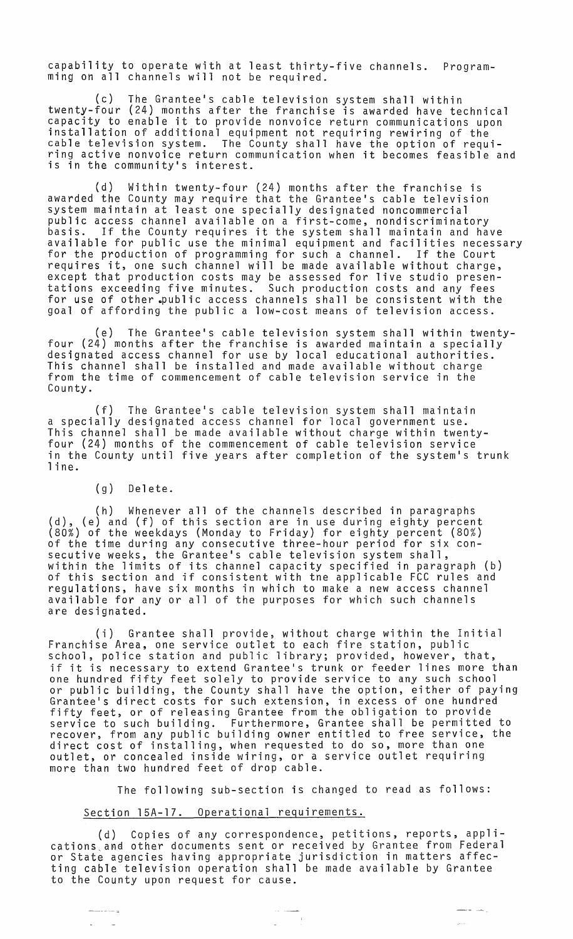capability to operate with at least thirty-five channels. Programming on all channels will not be required.

(c) The Grantee's cable television system shall within twenty-four (24) months after the franchise is awarded have technical capacity to enable it to provide nonvoice return communications upon installation of additional equipment not requiring rewiring of the cable television system. The County shall have the option of requiring active nonvoice return communication when it becomes feasible and is in the community's interest.

(d) Within twenty-four (24) months after the franchise is awarded the County may require that the Grantee's cable television system maintain at least one specially designated noncommercial public access channel available on a first-come, nondiscriminatory basis. If the County requires it the system shall maintain and have available for public use the minimal equipment and facilities necessary for the production of programming for such a channel. If the Court requires it, one such channel will be made available without charge, except that production costs may be assessed for live studio presentations exceeding five minutes. Such production costs and any fees for use of other \_public access channels shall be consistent with the goal of affording the public a low-cost means of television access.

(e) The Grantee's cable television system shall within twentyfour (24) months after the franchise is awarded maintain a specially designated access channel for use by local educational authorities. This channel shall be installed and made available without charge from the time of commencement of cable television service in the County.

(f) The Grantee's cable television system shall maintain a specially designated access channel for local government use. This channel shall be made available without charge within twentyfour (24) months of the commencement of cable television service in the County until five years after completion of the system's trunk 1 in e.

# (g) Delete.

———————

(h) Whenever all of the channels described in paragraphs (d), (e) and (f) of this section are in use during eighty percent (80%) of the weekdays (Monday to Friday) for eighty percent (80%) of the time during any consecutive three-hour period for six consecutive weeks, the Grantee's cable television system shall, within the limits of its channel capacity specified in paragraph (b) of this section and if consistent with tne applicable FCC rules and regulations, have six months in which to make a new access channel available for any or all of the purposes for which such channels are designated.

(i) Grantee shall provide, without charge within the Initial Franchise Area, one service outlet to each fire station, public school, police station and public library; provided, however, that, if it is necessary to extend Grantee's trunk or feeder lines more than one hundred fifty feet solely to provide service to any such school or public building, the County shall have the option, either of paying Grantee's direct costs for such extension, in excess of one hundred fifty feet, or of releasing Grantee from the obligation to provide service to such building. Furthermore, Grantee shall be permitted to recover, from any public building owner entitled to free service, the direct cost of installing, when requested to do so, more than one outlet, or concealed inside wiring, or a service outlet requiring more than two hundred feet of drop cable.

The following sub-section is changed to read as follows:

ل عبد المعط

 $\frac{1}{2}$  ,  $\frac{1}{2}$  ,  $\frac{1}{2}$ 

# Section 15A-17. Operational requirements.

(d) Copies of any correspondence, petitions, reports, appli cations and other documents sent or received by Grantee from Federal or State agencies having appropriate jurisdiction in matters affecting cable television operation shall be made available by Grantee to the County upon request for cause.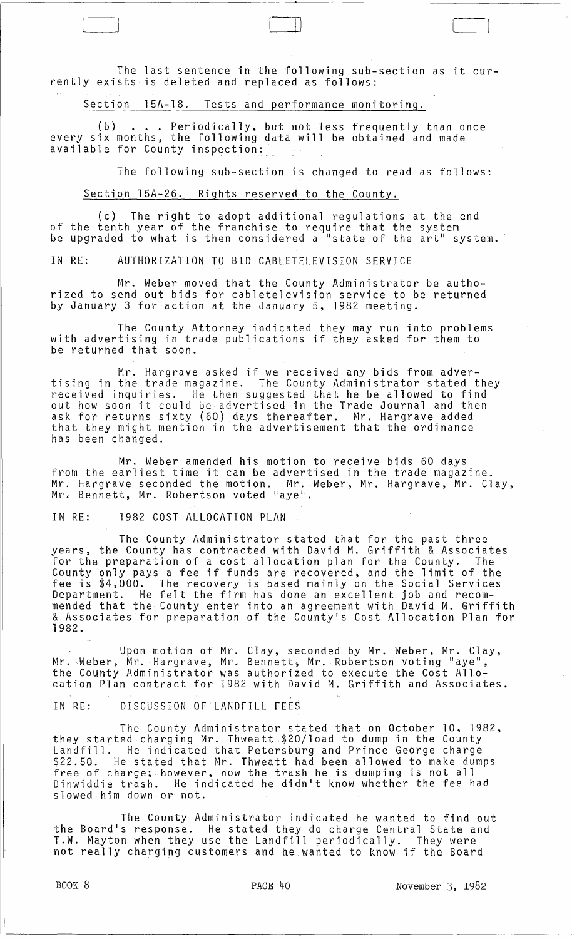The last sentence in the following sub-section as it currently exists· is deleted and replaced as follows:

Section 15A-18. Tests and performance monitoring.

(b) ... Periodically, but not less frequently than once every six months, the following data will be obtained and made available for County inspection:

The following sub-section is changed to read as follows:

Section 15A-26. Rights reserved to the County.

 $\{c\}$  The right to adopt additional regulations at the end of the tenth year of the franchise to require that the system<br>be upgraded to what is then considered a "state of the art" system.

IN RE: AUTHORIZATION TO BID CABLETELEVISION SERVICE

Mr. Weber moved that the County Administrator be authorized to send out bids for cabletelevision service to be returned by January 3 for action at the January 5, 1982 meeting.

The County Attorney indicated they may run into problems with advertising in trade publications if they asked for them to be returned that soon.

Mr. Hargrave asked if we received any bids from advertising in the trade magazine. The County Administrator stated they received inquiries. He then suggested that he be allowed to find out how soon it could be advertised in the Trade Journal and then ask for returns sixty (60) days thereafter. Mr. Hargrave added that they might mention in the advertisement that the ordinance has been changed.

Mr. Weber amended his motion to receive bids 60 days from the earliest time it can be advertised in the trade magazine. Mr. Hargrave seconded the motion. Mr. Weber, Mr. Hargrave, Mr. Clay, Mr. Bennett, Mr. Robertson voted "aye".

IN RE: 1982 COST ALLOCATION PLAN

The County Administrator stated that for the past three years, the County has contracted with David M. Griffith & Associates for the preparation of a cost allocation plan for the County. The County only pays a fee if funds are recovered, and the limit of the fee is \$4,000. The recovery is based mainly on the Social Services Department. He felt the firm has done an excellent job and recommended that the County enter into an agreement with David M. Griffith & Associates for preparation of the County's Cost Allocation Plan for 1982.

Upon motion of Mr. Clay, seconded by Mr. Weber, Mr. Clay, Mr. Weber, Mr. Hargrave, Mr. Bennett, Mr. Robertson voting "aye",<br>the County Administrator was authorized to execute the Cost Allocation Plan ·contract for 1982 with David M. Griffith and Associates.

IN RE: DISCUSSION OF LANDFILL FEES

The County Administrator stated that on October 10, 1982, they started charging Mr. Thweatt .\$20/10ad to dump in the County Landfill. He indicated that Petersburg and Prince George charge<br>\$22.50. He stated that Mr. Thweatt had been allowed to make dumps free of charge; however, now the trash he is dumping is not all<br>Dinwiddie trash. He indicated he didn't know whether the fee had slowed him down or not.

The County Administrator indicated he wanted to find out the Board's response. He stated they do charge Central State and T.W. Mayton when they use the Landfill periodically.· They were not really charging customers and he wanted to know if the Board

BOOK 8 **PAGE 40** PAGE 40 **November 3, 1982**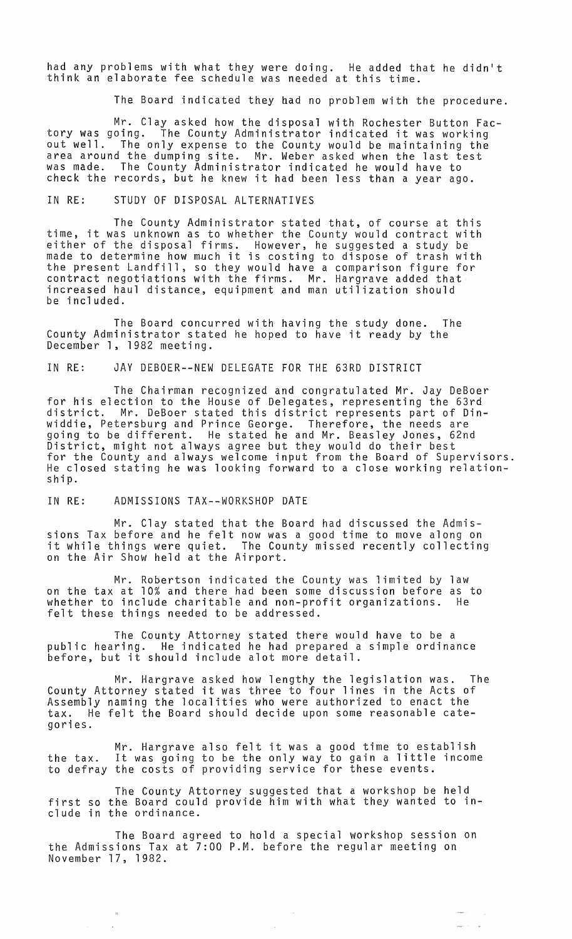had any problems with what they were doing. He added that he didn't think an elaborate fee schedule was needed at this time.

The Board indicated they had no problem with the procedure.

Mr. Clay asked how the disposal with Rochester Button Fac-tory was going. The County Administrator indicated it was working out well. The only expense to the County would be maintaining the area around the dumping site. Mr. Weber asked when the last test was made. The County Administrator indicated he would have to check the records, but he knew it had been less than a year ago.

#### IN RE: STUDY OF DISPOSAL ALTERNATIVES

The County Administrator stated that, of course at this time, it was unknown as to whether the County would contract with either of the disposal firms. However, he suggested a study be efter of the disposar firms. However, he suggested a study be<br>made to determine how much it is costing to dispose of trash with the present Landfill, so they would have a comparison figure for contract negotiations with the firms. Mr. Hargrave added that increased haul distance, equipment and man utilization should be included.

The Board concurred with having the study done. The County Administrator stated he hoped to have it ready by the December 1, 1982 meeting.

# IN RE: JAY DEBOER--NEW DELEGATE FOR THE 63RD DISTRICT

The Chairman recognized and congratulated Mr. Jay DeBoer for his election to the House of Delegates, representing the 63rd district. Mr. DeBoer stated this district represents part of Dinwiddie, Petersburg and Prince George. Therefore, the needs are going to be different. He stated he and Mr. Beasley Jones, 62nd District, might not always agree but they would do their best for the County and always welcome input from the Board of Supervisors. He closed stating he was looking forward to a close working relationship.

### IN RE: ADMISSIONS TAX--WORKSHOP DATE

Mr. Clay stated that the Board had discussed the Admissions Tax before and he felt now was a good time to move along on it while things were quiet. The County missed recently collecting on the Air Show held at the Airport.

Mr. Robertson indicated the County was limited by law on the tax at 10% and there had been some discussion before as to<br>whether to include charitable and non-profit organizations. He whether to include charitable and non-profit organizations. felt these things needed to be addressed.

The County Attorney stated there would have to be a public hearing. He indicated he had prepared a simple ordinance before, but it should include alot more detail.

Mr. Hargrave asked how lengthy the legislation was. The County Attorney stated it was three to four lines in the Acts of Assembly naming the localities who were authorized to enact the tax. He felt the Board should decide upon some reasonable categories.

Mr. Hargrave also felt it was a good time to establish the tax. It was going to be the only way to gain a little income to defray the costs of providing service for these events.

The County Attorney suggested that a workshop be held first so the Board could provide him with what they wanted to include in the ordinance.

The Board agreed to hold a special workshop session on the Admissions Tax at 7:00 P.M. before the regular meeting on November 17, 1982.

 $\sim$ 

 $\sim$   $\sim$ 

÷,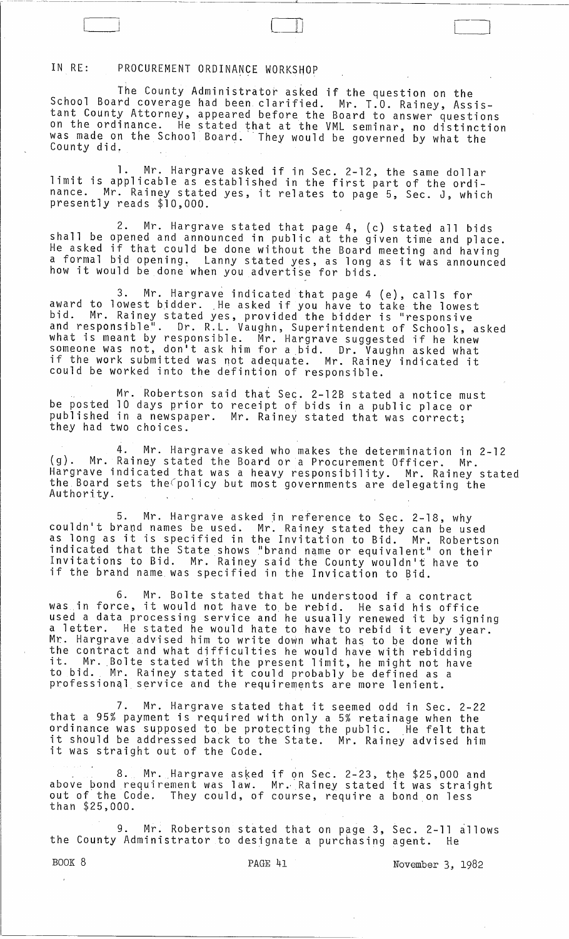# IN RE: PROCUREMENT ORDINANCE WORKSHOP

The County Administrator asked if the question on the School Board coverage had been clarified. Mr. T.O. Rainey, Assistant County Attorney, appeared before the Board to answer questions on the ordinance. He stated that at the VML seminar, no distinction was made on the School Board.' They would be governed by what the County did.

- -----~ --'-----------~-~---,-- ~--------"---~-----------------

 $\Box$ 

1. Mr. Hargrave asked if in Sec. 2-12, the same dollar limit is applicable as established in the first part of the ordinance. Mr. Rainey stated yes, it relates to page 5, Sec. J, which presently reads \$10,000.

2. Mr. Hargrave stated that page 4, (c) stated all bids shall be opened and announced in public at the given time and place. He asked if that could be done without the Board meeting and having a formal bid opening. Lanny stated yes, as long as it was announced how it would be done when you advertise for bids.

3. Mr. Hargrave indicated that page 4 (e), calls for award to lowest bidder. He asked if you have to take the lowest bid. Mr. Rainey stated yes, provided the bidder is "responsive and responsible". Dr. R.L. Vaughn, Superintendent of Schools, asked what is meant by responsible. Mr. Hargrave suggested if he knew someone was not, don't ask him for a bid. Dr. Vaughn asked what if the work submitted was not adequate. Mr. Rainey indicated it could be worked into the defintion of responsible.

Mr. Robertson said that Sec. 2-12B stated a notice must be posted 10 days prior to receipt of bids in a public place or published in a newspaper. Mr. Rainey stated that was correct; they had two choices.

4. Mr. Hargrave asked who makes the determination in 2-12 (g). Mr. Rainey stated the Board or a Procurement Officer. Mr. Hargrave indicated that was a heavy responsibility. Mr. Rainey stated the,Board sets the(policy but most governments are delegating the Authority.

5. Mr. Hargrave asked in reference to Sec. 2-18, why couldn't brand names be used. Mr. Rainey stated they can be used as long as it is specified in the Invitation to Bid. Mr. Robertson indicated that the State shows "brand name or equivalent" on their Invitations to Bid. Mr. Rainey said the County wouldn't have to if the brand name was specified in the Invication to Bid.

6. Mr. Bolte stated that he understood if a contract was in force, it would not have to be rebid. He said his office was in rorce, it would not have to be replu. He said his office<br>used a data processing service and he usually renewed it by signing a letter. He stated he would hate to have to rebid it every year. Mr. Hargrave advised him to write down what has to be done with the contract and what difficulties he would have with rebidding it. Mr. Bolte stated with the present limit, he might not have to bid. Mr. Rainey stated it could probably be defined as a professionql service and the requirements are more lenient.

7. Mr. Hargrave stated that it seemed odd in Sec. 2-22 that a 95% payment is required with only a 5% retainage when the ordinance was supposed to be protecting the public. He felt that it should be addressed back to the State. Mr. Rainey advised him it was straight out of the Code.

. 8. Mr. Hargrave asked above bond requirement was law. out of the Code. They could, of than \$25,000. if on Sec. 2~23, the \$25,000 and th on sec. 2-23, the \$25,000 and<br>Mr. Rainey stated it was straight course, require a bond on less

9. Mr. Robertson stated that on page 3, Sec. 2-11 allows the County Administrator to designate a purchasing agent. He

BOOK 8 **PAGE 41 PAGE 41** November 3, 1982

 $\lambda$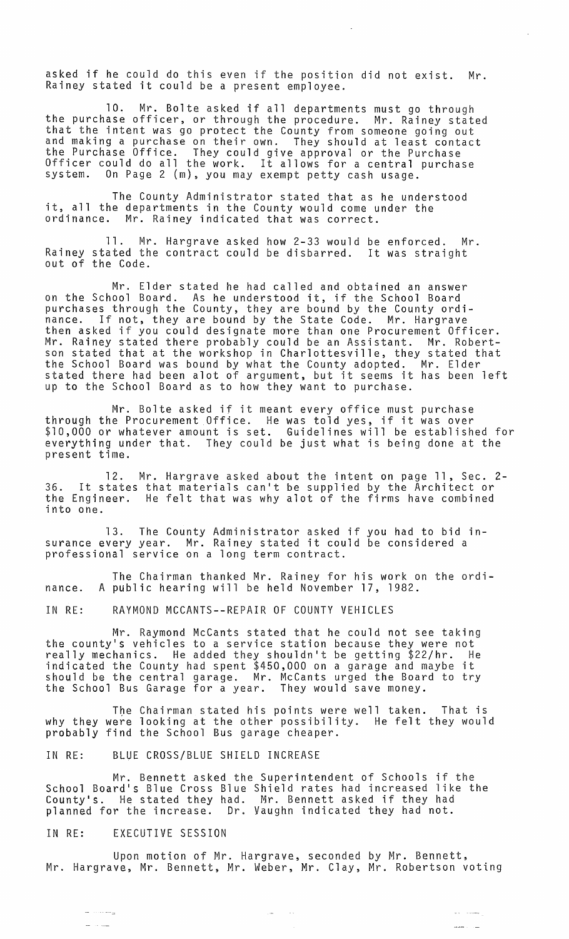asked if he could do this even if the position did not exist. Mr. Rainey stated it could be a present employee.

 $\bar{z}$ 

10. Mr. Bolte asked if all departments must go through the purchase officer, or through the procedure. Mr. Rainey stated that the intent was go protect the County from someone going out and making a purchase on their own. They should at least contact the Purchase Office. They could give approval or the Purchase Officer could do all the work. It allows for a central purchase system. On Page 2 {m}, you may exempt petty cash usage.

The County Administrator stated that as he understood it, all the departments in the County would come under the ordinance. Mr. Rainey indicated that was correct.

11. Mr. Hargrave asked how 2-33 would be enforced. Mr. Rainey stated the contract could be disbarred. It was straight out of the Code.

Mr. Elder stated he had called and obtained an answer on the School Board. As he understood it, if the School Board purchases through the County, they are bound by the County ordinance. If not, they are bound by the State Code. Mr. Hargrave then asked if you could designate more than one Procurement Officer. Mr. Rainey stated there probably could be an Assistant. Mr. Robertson stated that at the workshop in Charlottesville, they stated that the School Board was bound by what the County adopted. Mr. Elder stated there had been alot of argument, but it seems it has been left up to the School Board as to how they want to purchase.

Mr. Bolte asked if it meant every office must purchase through the Procurement Office. He was told yes, if it was over \$10,000 or whatever amount is set. Guidelines will be established for everything under that. They could be just what is being done at the present time.

12. Mr. Hargrave asked about the intent on page 11, Sec. 2- 36. It states that materials can't be supplied by the Architect or 36. It states that materials can't be supplied by the Architect or<br>the Engineer. He felt that was why alot of the firms have combined into one.

13. The County Administrator asked if you had to bid insurance every year. Mr. Rainey stated it could be considered a professional service on a long term contract.

The Chairman thanked Mr. Rainey for his work on the ordinance. A public hearing will be held November 17, 1982.

IN RE: RAYMOND MCCANTS--REPAIR OF COUNTY VEHICLES

Mr. Raymond McCants stated that he could not see taking the county's vehicles to a service station because they were not really mechanics. He added they shouldn't be getting \$22/hr. He indicated the County had spent \$450,000 on a garage and maybe it should be the central garage. Mr. McCants urged the Board to try the School Bus Garage for a year. They would save money.

The Chairman stated his points were well taken. That is why they were looking at the other possibility. He felt they would probably find the School Bus garage cheaper.

IN RE: BLUE CROSS/BLUE SHIELD INCREASE

Mr. Bennett asked the Superintendent of Schools if the School Board's Blue Cross Blue Shield rates had increased like the County's. He stated they had. Mr. Bennett asked if they had planned for the increase. Dr. Vaughn indicated they had not.

#### IN RE: EXECUTIVE SESSION

Upon motion of Mr. Hargrave, seconded by Mr. Bennett, Mr. Hargrave, Mr. Bennett, Mr. Weber, Mr. Clay, Mr. Robertson voting

> $\sim$  10  $\pm$ المساري

 $\omega_{\rm{max}}$  , and  $\omega_{\rm{max}}$ 

 $\frac{1}{2}$ 

a comand 20 million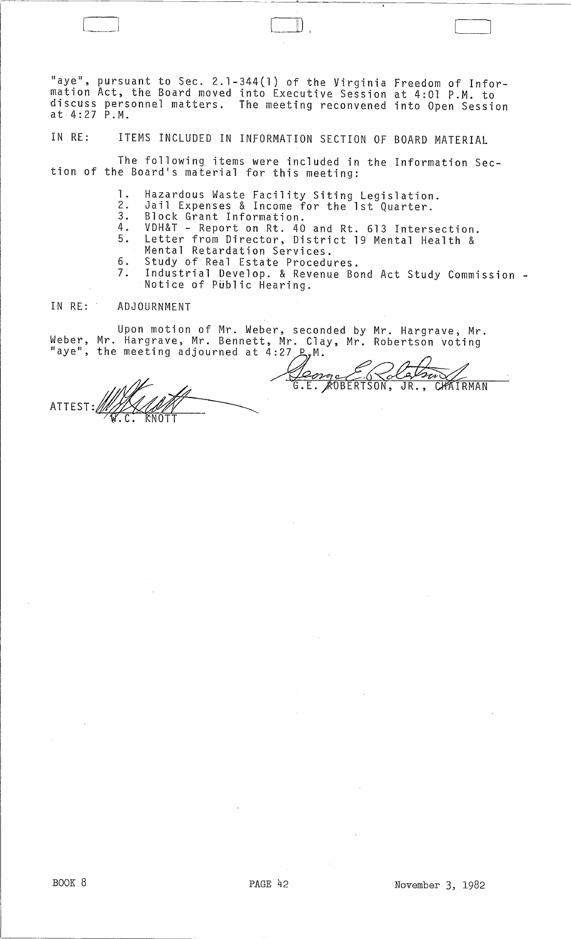"aye", pursuant to Sec. 2.1-344(1) of the Virginia Freedom of Information Act, the Board moved into Executive Session at 4:01 P.M. to discuss personnel matters. The meeting reconvened into Open Session at 4:27 P.M.

 $\Box$ 

IN RE: ITEMS INCLUDED IN INFORMATION SECTION OF BOARD MATERIAL

The following items were included in the Information Section of the Board's material for this meeting:

- 1. Hazardous Waste Facility Siting Legislation.
- 2. Jail Expenses & Income for the 1st Quarter. 3. Block Grant Information.
- 
- 4. VDH&T Report on Rt. 40 and Rt. 613 Intersection.
- 5. Letter from Director, District 19 Mental Health & Mental Retardation Services.
- 6. Study of Real Estate Procedures.<br>7. Industrial Develop, & Revenue Bo
- Industrial Develop. & Revenue Bond Act Study Commission -<br>Notice of Public Hearing.

#### IN RE: ADJOURNMENT

Upon motion of Mr. Weber, seconded by Mr. Hargrave, Mr. Weber, Mr. Hargrave, Mr. Bennett, Mr. Clay, Mr. Robertson voting<br>"aye", the meeting adjourned at 4:27 *P*,M.

ATTEST:y...p.\_:..:,..~~\_~\_~ .C. NOTT  $\frac{1}{\sqrt{11}}$ 

<u>Jeongo E.G Colornov</u><br>G.E. ROBERTSON, JR., CHAIRMAN